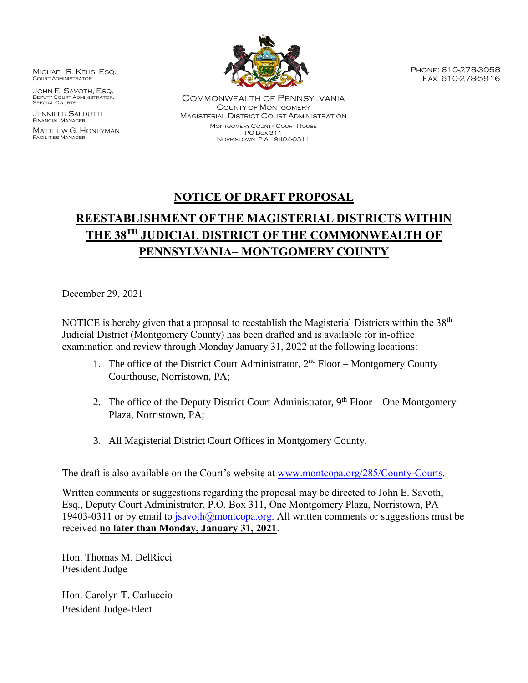MICHAEL R. KEHS, ESQ. Court Administrator

JOHN E. SAVOTH, ESQ. DEPUTY COURT ADMINISTRATOR, SPECIAL COURTS

JENNIFER SALDUTTI Financial Manager

MATTHEW G. HONEYMAN Facilities Manager



COMMONWEALTH OF PENNSYLVANIA COUNTY OF MONTGOMERY MAGISTERIAL DISTRICT COURT ADMINISTRATION MONTGOMERY COUNTY COURT HOUSE PO BOX 311 NORRISTOWN, P.A 19404-0311

Phone: 610-278-3058 Fax: 610-278-5916

## **NOTICE OF DRAFT PROPOSAL**

# **REESTABLISHMENT OF THE MAGISTERIAL DISTRICTS WITHIN THE 38TH JUDICIAL DISTRICT OF THE COMMONWEALTH OF PENNSYLVANIA– MONTGOMERY COUNTY**

December 29, 2021

NOTICE is hereby given that a proposal to reestablish the Magisterial Districts within the 38<sup>th</sup> Judicial District (Montgomery County) has been drafted and is available for in-office examination and review through Monday January 31, 2022 at the following locations:

- 1. The office of the District Court Administrator,  $2<sup>nd</sup>$  Floor Montgomery County Courthouse, Norristown, PA;
- 2. The office of the Deputy District Court Administrator,  $9<sup>th</sup>$  Floor One Montgomery Plaza, Norristown, PA;
- 3. All Magisterial District Court Offices in Montgomery County.

The draft is also available on the Court's website at [www.montcopa.org/285/County-Courts.](http://www.montcopa.org/285/County-Courts)

Written comments or suggestions regarding the proposal may be directed to John E. Savoth, Esq., Deputy Court Administrator, P.O. Box 311, One Montgomery Plaza, Norristown, PA 19403-0311 or by email to  $isavoth@montoopa.org$ . All written comments or suggestions must be received **no later than Monday, January 31, 2021**.

Hon. Thomas M. DelRicci President Judge

Hon. Carolyn T. Carluccio President Judge-Elect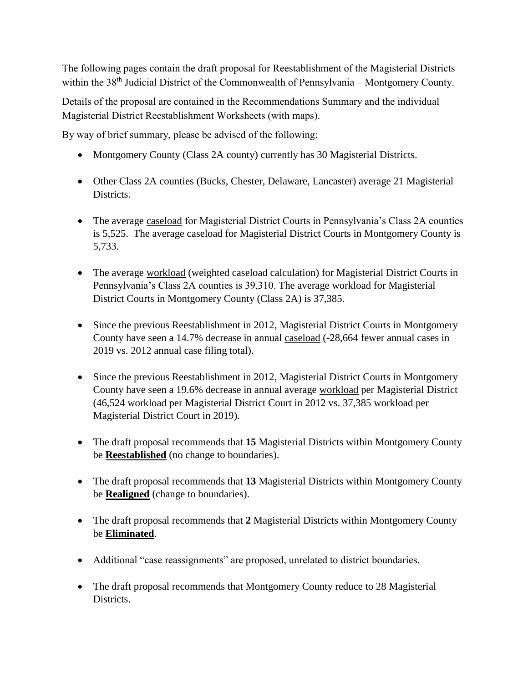The following pages contain the draft proposal for Reestablishment of the Magisterial Districts within the 38<sup>th</sup> Judicial District of the Commonwealth of Pennsylvania – Montgomery County.

Details of the proposal are contained in the Recommendations Summary and the individual Magisterial District Reestablishment Worksheets (with maps).

By way of brief summary, please be advised of the following:

- Montgomery County (Class 2A county) currently has 30 Magisterial Districts.
- Other Class 2A counties (Bucks, Chester, Delaware, Lancaster) average 21 Magisterial Districts.
- The average caseload for Magisterial District Courts in Pennsylvania's Class 2A counties is 5,525. The average caseload for Magisterial District Courts in Montgomery County is 5,733.
- The average workload (weighted caseload calculation) for Magisterial District Courts in Pennsylvania's Class 2A counties is 39,310. The average workload for Magisterial District Courts in Montgomery County (Class 2A) is 37,385.
- Since the previous Reestablishment in 2012, Magisterial District Courts in Montgomery County have seen a 14.7% decrease in annual caseload (-28,664 fewer annual cases in 2019 vs. 2012 annual case filing total).
- Since the previous Reestablishment in 2012, Magisterial District Courts in Montgomery County have seen a 19.6% decrease in annual average workload per Magisterial District (46,524 workload per Magisterial District Court in 2012 vs. 37,385 workload per Magisterial District Court in 2019).
- The draft proposal recommends that 15 Magisterial Districts within Montgomery County be **Reestablished** (no change to boundaries).
- The draft proposal recommends that 13 Magisterial Districts within Montgomery County be **Realigned** (change to boundaries).
- The draft proposal recommends that 2 Magisterial Districts within Montgomery County be **Eliminated**.
- Additional "case reassignments" are proposed, unrelated to district boundaries.
- The draft proposal recommends that Montgomery County reduce to 28 Magisterial Districts.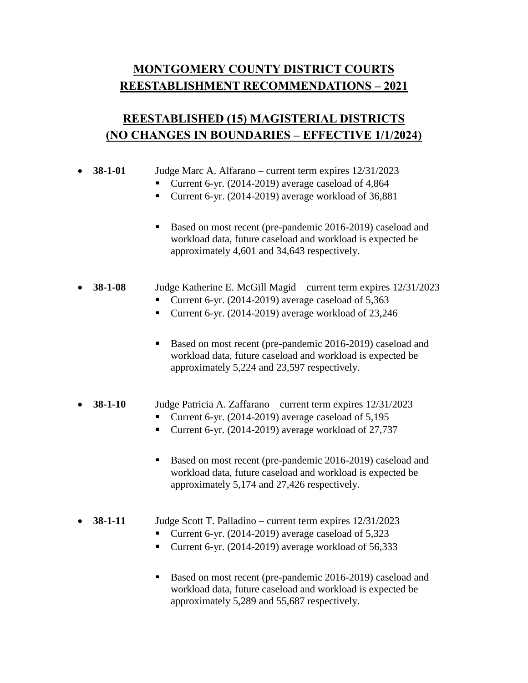## **MONTGOMERY COUNTY DISTRICT COURTS REESTABLISHMENT RECOMMENDATIONS – 2021**

## **REESTABLISHED (15) MAGISTERIAL DISTRICTS (NO CHANGES IN BOUNDARIES – EFFECTIVE 1/1/2024)**

| $38-1-01$     | Judge Marc A. Alfarano – current term expires 12/31/2023<br>Current 6-yr. (2014-2019) average caseload of 4,864<br>Current 6-yr. (2014-2019) average workload of 36,881            |
|---------------|------------------------------------------------------------------------------------------------------------------------------------------------------------------------------------|
|               | Based on most recent (pre-pandemic 2016-2019) caseload and<br>п<br>workload data, future caseload and workload is expected be<br>approximately 4,601 and 34,643 respectively.      |
| $38 - 1 - 08$ | Judge Katherine E. McGill Magid - current term expires 12/31/2023<br>Current 6-yr. $(2014-2019)$ average caseload of 5,363<br>Current 6-yr. (2014-2019) average workload of 23,246 |
|               | Based on most recent (pre-pandemic 2016-2019) caseload and<br>п<br>workload data, future caseload and workload is expected be<br>approximately 5,224 and 23,597 respectively.      |
|               |                                                                                                                                                                                    |

#### **38-1-10** Judge Patricia A. Zaffarano – current term expires 12/31/2023

- Current 6-yr. (2014-2019) average caseload of  $5,195$
- Current 6-yr. (2014-2019) average workload of 27,737
- Based on most recent (pre-pandemic 2016-2019) caseload and workload data, future caseload and workload is expected be approximately 5,174 and 27,426 respectively.

### • **38-1-11** Judge Scott T. Palladino – current term expires  $12/31/2023$

- Current 6-yr. (2014-2019) average caseload of 5,323
- Current 6-yr. (2014-2019) average workload of  $56,333$
- Based on most recent (pre-pandemic 2016-2019) caseload and workload data, future caseload and workload is expected be approximately 5,289 and 55,687 respectively.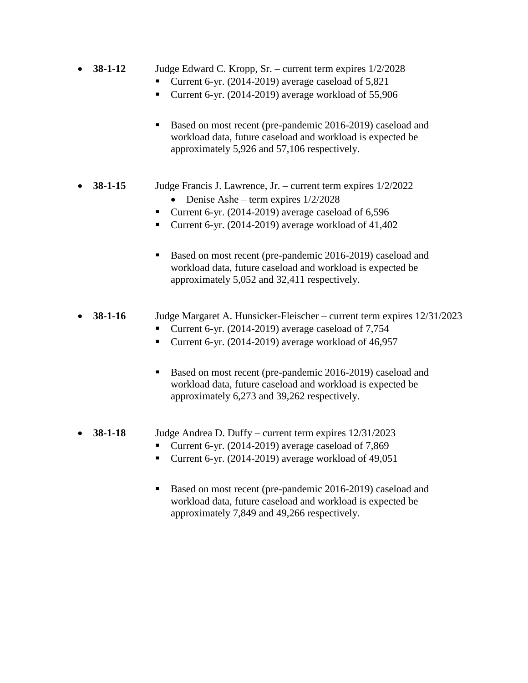- **38-1-12** Judge Edward C. Kropp, Sr. current term expires  $1/2/2028$ 
	- Current 6-yr. (2014-2019) average caseload of 5,821
	- Current 6-yr. (2014-2019) average workload of 55,906
	- Based on most recent (pre-pandemic 2016-2019) caseload and workload data, future caseload and workload is expected be approximately 5,926 and 57,106 respectively.
- **38-1-15** Judge Francis J. Lawrence, Jr. current term expires 1/2/2022
	- Denise Ashe term expires  $1/2/2028$
	- Current 6-yr. (2014-2019) average caseload of 6,596
	- Current 6-yr. (2014-2019) average workload of  $41,402$
	- Based on most recent (pre-pandemic 2016-2019) caseload and workload data, future caseload and workload is expected be approximately 5,052 and 32,411 respectively.

### • **38-1-16** Judge Margaret A. Hunsicker-Fleischer – current term expires  $12/31/2023$

- Current 6-yr. (2014-2019) average caseload of  $7,754$
- Current 6-yr. (2014-2019) average workload of 46,957
- Based on most recent (pre-pandemic 2016-2019) caseload and workload data, future caseload and workload is expected be approximately 6,273 and 39,262 respectively.
- **38-1-18** Judge Andrea D. Duffy current term expires 12/31/2023
	- Current 6-yr. (2014-2019) average caseload of 7,869
	- Current 6-yr. (2014-2019) average workload of 49,051
	- Based on most recent (pre-pandemic 2016-2019) caseload and workload data, future caseload and workload is expected be approximately 7,849 and 49,266 respectively.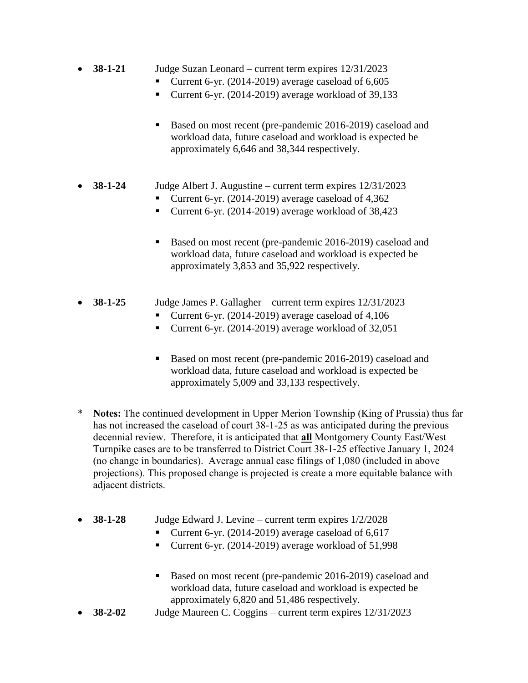- **38-1-21** Judge Suzan Leonard current term expires 12/31/2023
	- Current 6-yr. (2014-2019) average caseload of 6,605
	- Current 6-yr. (2014-2019) average workload of 39,133
	- Based on most recent (pre-pandemic 2016-2019) caseload and workload data, future caseload and workload is expected be approximately 6,646 and 38,344 respectively.

### **38-1-24** Judge Albert J. Augustine – current term expires 12/31/2023

- Current 6-yr. (2014-2019) average caseload of 4,362
- Current 6-yr. (2014-2019) average workload of  $38,423$
- Based on most recent (pre-pandemic 2016-2019) caseload and workload data, future caseload and workload is expected be approximately 3,853 and 35,922 respectively.
- **38-1-25** Judge James P. Gallagher current term expires  $12/31/2023$ 
	- Current 6-yr. (2014-2019) average caseload of 4,106
	- Current 6-yr. (2014-2019) average workload of 32,051
	- Based on most recent (pre-pandemic 2016-2019) caseload and workload data, future caseload and workload is expected be approximately 5,009 and 33,133 respectively.
- \* **Notes:** The continued development in Upper Merion Township (King of Prussia) thus far has not increased the caseload of court 38-1-25 as was anticipated during the previous decennial review. Therefore, it is anticipated that **all** Montgomery County East/West Turnpike cases are to be transferred to District Court 38-1-25 effective January 1, 2024 (no change in boundaries). Average annual case filings of 1,080 (included in above projections). This proposed change is projected is create a more equitable balance with adjacent districts.
- **38-1-28** Judge Edward J. Levine current term expires 1/2/2028
	- Current 6-yr. (2014-2019) average caseload of  $6,617$
	- Current 6-yr. (2014-2019) average workload of 51,998
	- Based on most recent (pre-pandemic 2016-2019) caseload and workload data, future caseload and workload is expected be approximately 6,820 and 51,486 respectively.
- **38-2-02** Judge Maureen C. Coggins current term expires 12/31/2023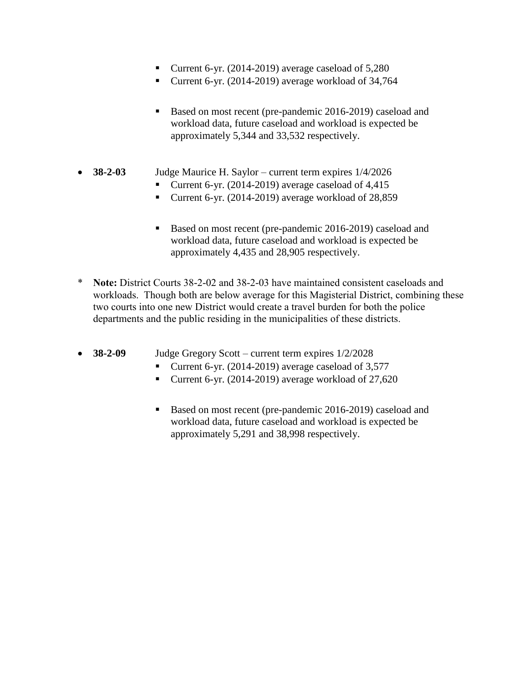- Current 6-yr. (2014-2019) average caseload of 5,280
- Current 6-yr. (2014-2019) average workload of 34,764
- Based on most recent (pre-pandemic 2016-2019) caseload and workload data, future caseload and workload is expected be approximately 5,344 and 33,532 respectively.
- **38-2-03** Judge Maurice H. Saylor current term expires 1/4/2026
	- Current 6-yr. (2014-2019) average caseload of 4,415
	- Current 6-yr. (2014-2019) average workload of 28,859
	- Based on most recent (pre-pandemic 2016-2019) caseload and workload data, future caseload and workload is expected be approximately 4,435 and 28,905 respectively.
- \* **Note:** District Courts 38-2-02 and 38-2-03 have maintained consistent caseloads and workloads. Though both are below average for this Magisterial District, combining these two courts into one new District would create a travel burden for both the police departments and the public residing in the municipalities of these districts.
- **38-2-09** Judge Gregory Scott current term expires 1/2/2028
	- Current 6-yr. (2014-2019) average caseload of  $3,577$
	- Current 6-yr. (2014-2019) average workload of 27,620
	- Based on most recent (pre-pandemic 2016-2019) caseload and workload data, future caseload and workload is expected be approximately 5,291 and 38,998 respectively.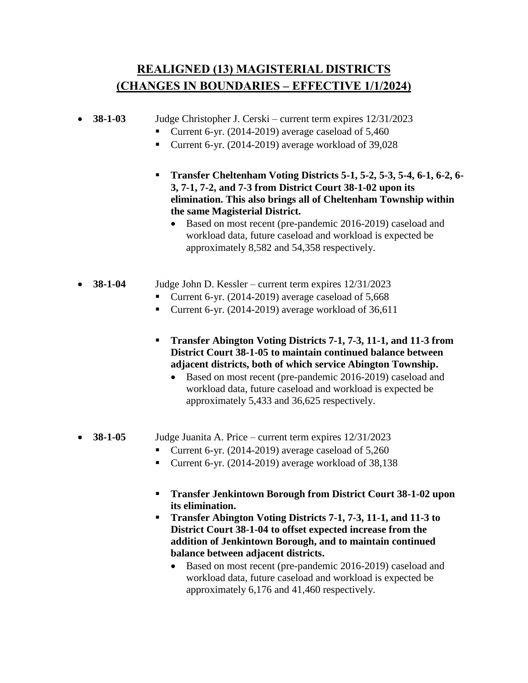## **REALIGNED (13) MAGISTERIAL DISTRICTS (CHANGES IN BOUNDARIES – EFFECTIVE 1/1/2024)**

### **38-1-03** Judge Christopher J. Cerski – current term expires 12/31/2023

- Current 6-yr. (2014-2019) average caseload of  $5,460$
- Current 6-yr. (2014-2019) average workload of  $39,028$
- **Transfer Cheltenham Voting Districts 5-1, 5-2, 5-3, 5-4, 6-1, 6-2, 6- 3, 7-1, 7-2, and 7-3 from District Court 38-1-02 upon its elimination. This also brings all of Cheltenham Township within the same Magisterial District.**
	- Based on most recent (pre-pandemic 2016-2019) caseload and workload data, future caseload and workload is expected be approximately 8,582 and 54,358 respectively.
- **38-1-04** Judge John D. Kessler current term expires 12/31/2023
	- Current 6-yr. (2014-2019) average caseload of 5,668
	- Current 6-yr. (2014-2019) average workload of  $36,611$
	- **Transfer Abington Voting Districts 7-1, 7-3, 11-1, and 11-3 from District Court 38-1-05 to maintain continued balance between adjacent districts, both of which service Abington Township.**
		- Based on most recent (pre-pandemic 2016-2019) caseload and workload data, future caseload and workload is expected be approximately 5,433 and 36,625 respectively.
- **38-1-05** Judge Juanita A. Price current term expires 12/31/2023
	- Current 6-yr. (2014-2019) average caseload of 5,260
	- Current 6-yr. (2014-2019) average workload of 38,138
	- **Transfer Jenkintown Borough from District Court 38-1-02 upon its elimination.**
	- **Transfer Abington Voting Districts 7-1, 7-3, 11-1, and 11-3 to District Court 38-1-04 to offset expected increase from the addition of Jenkintown Borough, and to maintain continued balance between adjacent districts.**
		- Based on most recent (pre-pandemic 2016-2019) caseload and workload data, future caseload and workload is expected be approximately 6,176 and 41,460 respectively.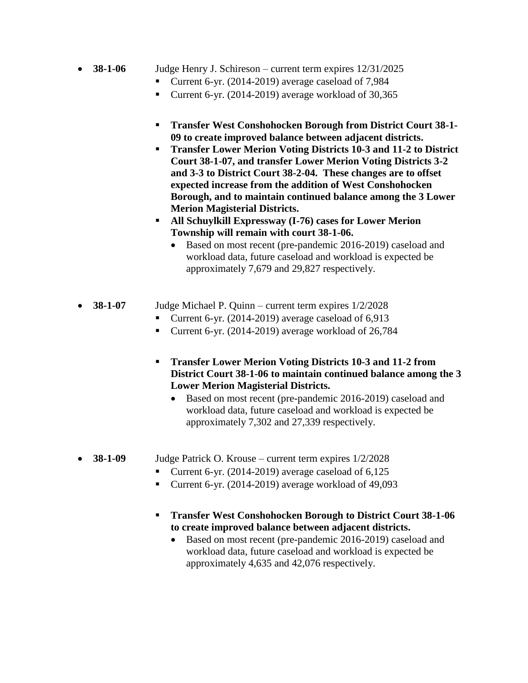- **38-1-06** Judge Henry J. Schireson current term expires  $12/31/2025$ 
	- Current 6-yr. (2014-2019) average caseload of 7,984
	- Current 6-yr. (2014-2019) average workload of  $30,365$
	- **Transfer West Conshohocken Borough from District Court 38-1- 09 to create improved balance between adjacent districts.**
	- **Transfer Lower Merion Voting Districts 10-3 and 11-2 to District Court 38-1-07, and transfer Lower Merion Voting Districts 3-2 and 3-3 to District Court 38-2-04. These changes are to offset expected increase from the addition of West Conshohocken Borough, and to maintain continued balance among the 3 Lower Merion Magisterial Districts.**
	- **All Schuylkill Expressway (I-76) cases for Lower Merion Township will remain with court 38-1-06.**
		- Based on most recent (pre-pandemic 2016-2019) caseload and workload data, future caseload and workload is expected be approximately 7,679 and 29,827 respectively.
- **38-1-07** Judge Michael P. Quinn current term expires 1/2/2028
	- Current 6-yr. (2014-2019) average caseload of 6,913
	- Current 6-yr. (2014-2019) average workload of 26,784
	- **Transfer Lower Merion Voting Districts 10-3 and 11-2 from District Court 38-1-06 to maintain continued balance among the 3 Lower Merion Magisterial Districts.**
		- Based on most recent (pre-pandemic 2016-2019) caseload and workload data, future caseload and workload is expected be approximately 7,302 and 27,339 respectively.
- **38-1-09** Judge Patrick O. Krouse current term expires 1/2/2028
	- Current 6-yr. (2014-2019) average caseload of 6,125
	- Current 6-yr. (2014-2019) average workload of  $49,093$
	- **Transfer West Conshohocken Borough to District Court 38-1-06 to create improved balance between adjacent districts.**
		- Based on most recent (pre-pandemic 2016-2019) caseload and workload data, future caseload and workload is expected be approximately 4,635 and 42,076 respectively.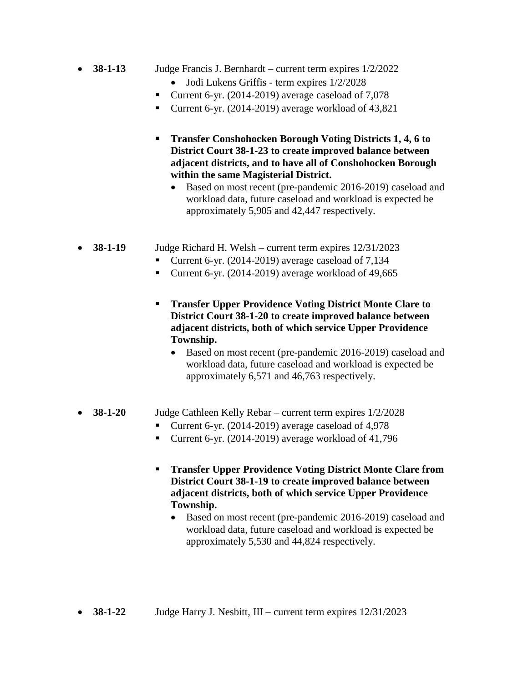- **38-1-13** Judge Francis J. Bernhardt current term expires 1/2/2022
	- Jodi Lukens Griffis term expires  $1/2/2028$
	- Current 6-yr. (2014-2019) average caseload of  $7,078$
	- Current 6-yr. (2014-2019) average workload of 43,821
	- **Transfer Conshohocken Borough Voting Districts 1, 4, 6 to District Court 38-1-23 to create improved balance between adjacent districts, and to have all of Conshohocken Borough within the same Magisterial District.**
		- Based on most recent (pre-pandemic 2016-2019) caseload and workload data, future caseload and workload is expected be approximately 5,905 and 42,447 respectively.
- **38-1-19** Judge Richard H. Welsh current term expires 12/31/2023
	- Current 6-yr. (2014-2019) average caseload of 7,134
	- Current 6-yr. (2014-2019) average workload of  $49,665$
	- **Transfer Upper Providence Voting District Monte Clare to District Court 38-1-20 to create improved balance between adjacent districts, both of which service Upper Providence Township.**
		- Based on most recent (pre-pandemic 2016-2019) caseload and workload data, future caseload and workload is expected be approximately 6,571 and 46,763 respectively.

### **38-1-20** Judge Cathleen Kelly Rebar – current term expires 1/2/2028

- Current 6-yr. (2014-2019) average caseload of 4,978
- Current 6-yr. (2014-2019) average workload of  $41,796$
- **Transfer Upper Providence Voting District Monte Clare from District Court 38-1-19 to create improved balance between adjacent districts, both of which service Upper Providence Township.**
	- Based on most recent (pre-pandemic 2016-2019) caseload and workload data, future caseload and workload is expected be approximately 5,530 and 44,824 respectively.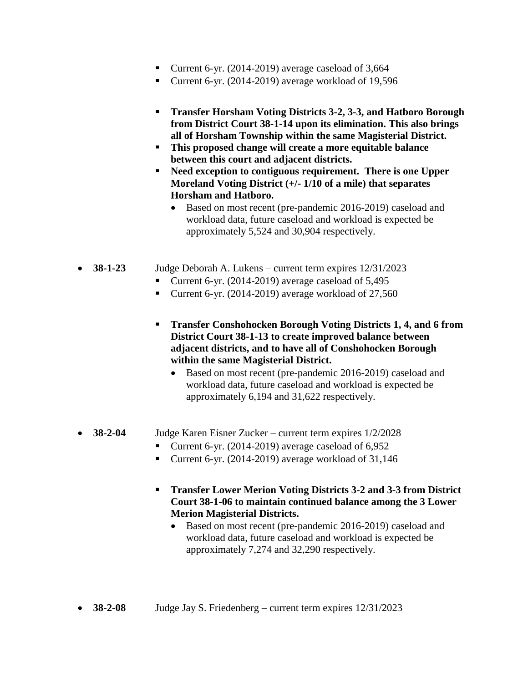- Current 6-yr. (2014-2019) average caseload of  $3,664$
- Current 6-yr. (2014-2019) average workload of 19,596
- **Transfer Horsham Voting Districts 3-2, 3-3, and Hatboro Borough from District Court 38-1-14 upon its elimination. This also brings all of Horsham Township within the same Magisterial District.**
- **This proposed change will create a more equitable balance between this court and adjacent districts.**
- **Need exception to contiguous requirement. There is one Upper Moreland Voting District (+/- 1/10 of a mile) that separates Horsham and Hatboro.**
	- Based on most recent (pre-pandemic 2016-2019) caseload and workload data, future caseload and workload is expected be approximately 5,524 and 30,904 respectively.
- **38-1-23** Judge Deborah A. Lukens current term expires 12/31/2023
	- Current 6-yr. (2014-2019) average caseload of 5,495
	- Current 6-yr. (2014-2019) average workload of 27,560
	- **Transfer Conshohocken Borough Voting Districts 1, 4, and 6 from District Court 38-1-13 to create improved balance between adjacent districts, and to have all of Conshohocken Borough within the same Magisterial District.**
		- Based on most recent (pre-pandemic 2016-2019) caseload and workload data, future caseload and workload is expected be approximately 6,194 and 31,622 respectively.

#### **38-2-04** Judge Karen Eisner Zucker – current term expires 1/2/2028

- Current 6-yr. (2014-2019) average caseload of  $6,952$
- Current 6-yr. (2014-2019) average workload of 31,146
- **Transfer Lower Merion Voting Districts 3-2 and 3-3 from District Court 38-1-06 to maintain continued balance among the 3 Lower Merion Magisterial Districts.**
	- Based on most recent (pre-pandemic 2016-2019) caseload and workload data, future caseload and workload is expected be approximately 7,274 and 32,290 respectively.
- **38-2-08** Judge Jay S. Friedenberg current term expires  $12/31/2023$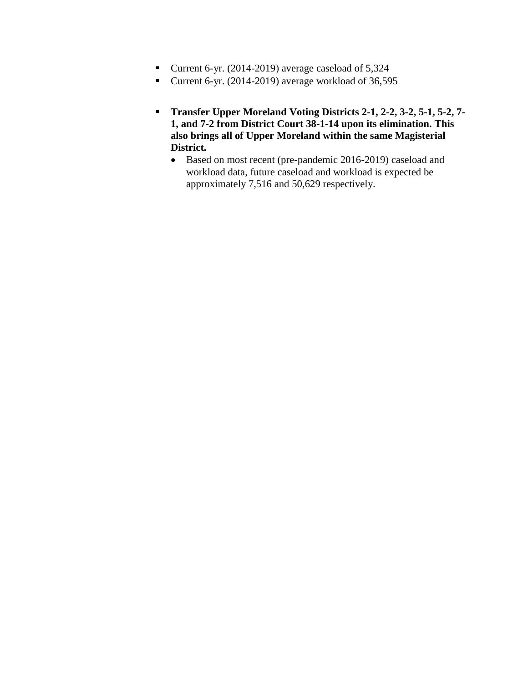- Current 6-yr. (2014-2019) average caseload of 5,324
- Current 6-yr. (2014-2019) average workload of  $36,595$
- **Transfer Upper Moreland Voting Districts 2-1, 2-2, 3-2, 5-1, 5-2, 7- 1, and 7-2 from District Court 38-1-14 upon its elimination. This also brings all of Upper Moreland within the same Magisterial District.**
	- Based on most recent (pre-pandemic 2016-2019) caseload and workload data, future caseload and workload is expected be approximately 7,516 and 50,629 respectively.